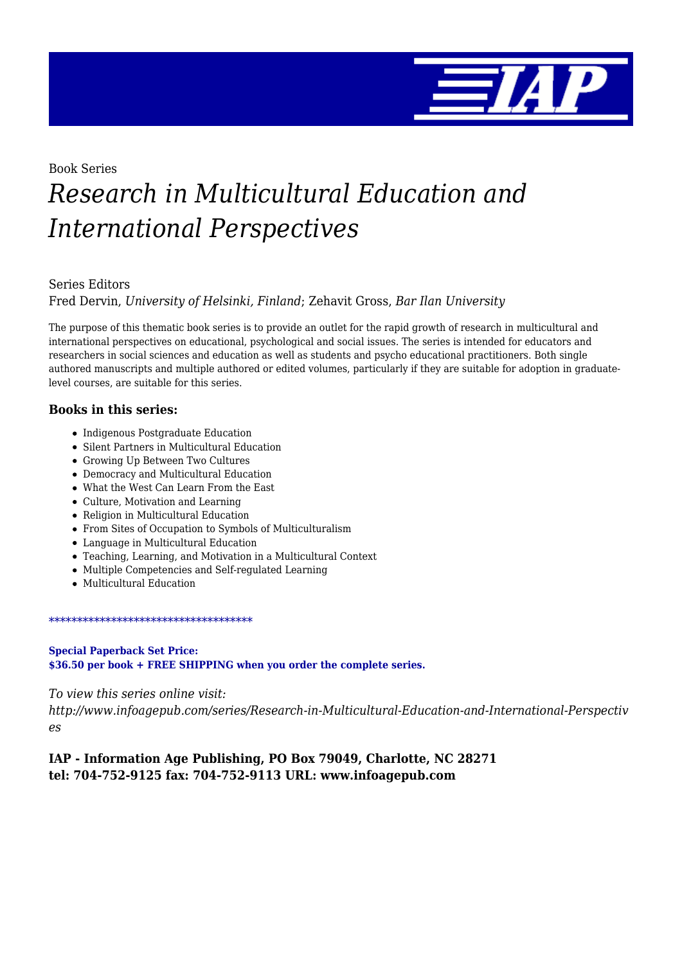

Book Series

# *Research in Multicultural Education and International Perspectives*

#### Series Editors

Fred Dervin, *University of Helsinki, Finland*; Zehavit Gross, *Bar Ilan University*

The purpose of this thematic book series is to provide an outlet for the rapid growth of research in multicultural and international perspectives on educational, psychological and social issues. The series is intended for educators and researchers in social sciences and education as well as students and psycho educational practitioners. Both single authored manuscripts and multiple authored or edited volumes, particularly if they are suitable for adoption in graduatelevel courses, are suitable for this series.

#### **Books in this series:**

- Indigenous Postgraduate Education
- Silent Partners in Multicultural Education
- Growing Up Between Two Cultures
- Democracy and Multicultural Education
- What the West Can Learn From the East
- Culture, Motivation and Learning
- Religion in Multicultural Education
- From Sites of Occupation to Symbols of Multiculturalism
- Language in Multicultural Education
- Teaching, Learning, and Motivation in a Multicultural Context
- Multiple Competencies and Self-regulated Learning
- Multicultural Education

#### \*\*\*\*\*\*\*\*\*\*\*\*\*\*\*\*\*\*\*\*\*\*\*\*\*\*\*\*\*\*\*\*\*\*\*\*

#### **Special Paperback Set Price: \$36.50 per book + FREE SHIPPING when you order the complete series.**

*To view this series online visit:*

*http://www.infoagepub.com/series/Research-in-Multicultural-Education-and-International-Perspectiv es*

**IAP - Information Age Publishing, PO Box 79049, Charlotte, NC 28271 tel: 704-752-9125 fax: 704-752-9113 URL: www.infoagepub.com**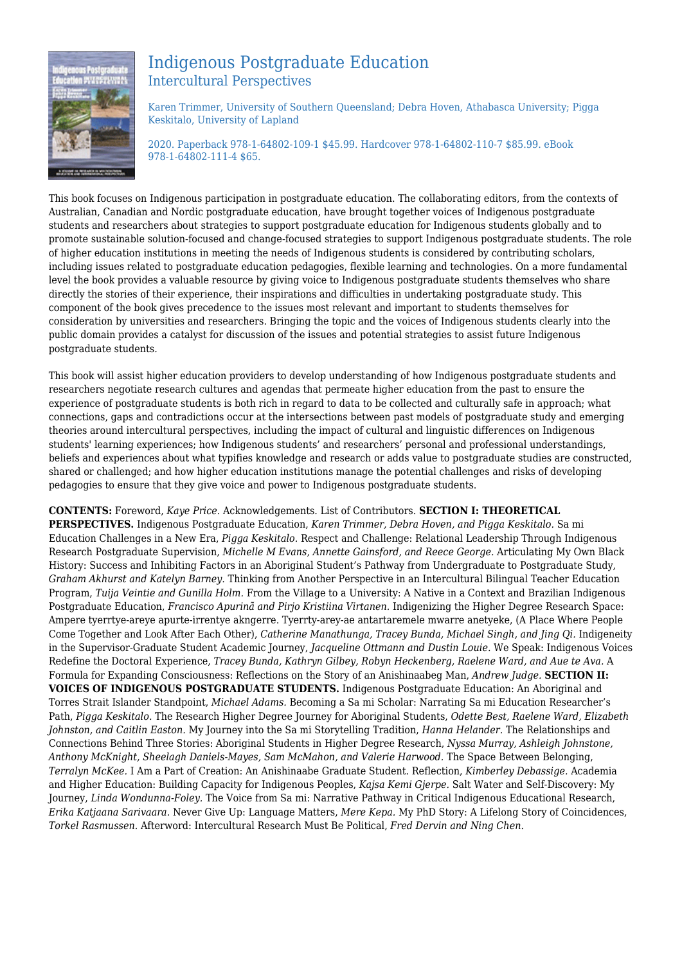

## Indigenous Postgraduate Education Intercultural Perspectives

Karen Trimmer, University of Southern Queensland; Debra Hoven, Athabasca University; Pigga Keskitalo, University of Lapland

2020. Paperback 978-1-64802-109-1 \$45.99. Hardcover 978-1-64802-110-7 \$85.99. eBook 978-1-64802-111-4 \$65.

This book focuses on Indigenous participation in postgraduate education. The collaborating editors, from the contexts of Australian, Canadian and Nordic postgraduate education, have brought together voices of Indigenous postgraduate students and researchers about strategies to support postgraduate education for Indigenous students globally and to promote sustainable solution-focused and change-focused strategies to support Indigenous postgraduate students. The role of higher education institutions in meeting the needs of Indigenous students is considered by contributing scholars, including issues related to postgraduate education pedagogies, flexible learning and technologies. On a more fundamental level the book provides a valuable resource by giving voice to Indigenous postgraduate students themselves who share directly the stories of their experience, their inspirations and difficulties in undertaking postgraduate study. This component of the book gives precedence to the issues most relevant and important to students themselves for consideration by universities and researchers. Bringing the topic and the voices of Indigenous students clearly into the public domain provides a catalyst for discussion of the issues and potential strategies to assist future Indigenous postgraduate students.

This book will assist higher education providers to develop understanding of how Indigenous postgraduate students and researchers negotiate research cultures and agendas that permeate higher education from the past to ensure the experience of postgraduate students is both rich in regard to data to be collected and culturally safe in approach; what connections, gaps and contradictions occur at the intersections between past models of postgraduate study and emerging theories around intercultural perspectives, including the impact of cultural and linguistic differences on Indigenous students' learning experiences; how Indigenous students' and researchers' personal and professional understandings, beliefs and experiences about what typifies knowledge and research or adds value to postgraduate studies are constructed, shared or challenged; and how higher education institutions manage the potential challenges and risks of developing pedagogies to ensure that they give voice and power to Indigenous postgraduate students.

**CONTENTS:** Foreword, *Kaye Price.* Acknowledgements. List of Contributors. **SECTION I: THEORETICAL PERSPECTIVES.** Indigenous Postgraduate Education, *Karen Trimmer, Debra Hoven, and Pigga Keskitalo.* Sa mi Education Challenges in a New Era, *Pigga Keskitalo.* Respect and Challenge: Relational Leadership Through Indigenous Research Postgraduate Supervision, *Michelle M Evans, Annette Gainsford, and Reece George.* Articulating My Own Black History: Success and Inhibiting Factors in an Aboriginal Student's Pathway from Undergraduate to Postgraduate Study, *Graham Akhurst and Katelyn Barney.* Thinking from Another Perspective in an Intercultural Bilingual Teacher Education Program, *Tuija Veintie and Gunilla Holm.* From the Village to a University: A Native in a Context and Brazilian Indigenous Postgraduate Education, *Francisco Apurinã and Pirjo Kristiina Virtanen.* Indigenizing the Higher Degree Research Space: Ampere tyerrtye-areye apurte-irrentye akngerre. Tyerrty-arey-ae antartaremele mwarre anetyeke, (A Place Where People Come Together and Look After Each Other), *Catherine Manathunga, Tracey Bunda, Michael Singh, and Jing Qi.* Indigeneity in the Supervisor-Graduate Student Academic Journey, *Jacqueline Ottmann and Dustin Louie.* We Speak: Indigenous Voices Redefine the Doctoral Experience, *Tracey Bunda, Kathryn Gilbey, Robyn Heckenberg, Raelene Ward, and Aue te Ava.* A Formula for Expanding Consciousness: Reflections on the Story of an Anishinaabeg Man, *Andrew Judge.* **SECTION II: VOICES OF INDIGENOUS POSTGRADUATE STUDENTS.** Indigenous Postgraduate Education: An Aboriginal and Torres Strait Islander Standpoint, *Michael Adams.* Becoming a Sa mi Scholar: Narrating Sa mi Education Researcher's Path, *Pigga Keskitalo.* The Research Higher Degree Journey for Aboriginal Students, *Odette Best, Raelene Ward, Elizabeth Johnston, and Caitlin Easton.* My Journey into the Sa mi Storytelling Tradition, *Hanna Helander.* The Relationships and Connections Behind Three Stories: Aboriginal Students in Higher Degree Research, *Nyssa Murray, Ashleigh Johnstone, Anthony McKnight, Sheelagh Daniels-Mayes, Sam McMahon, and Valerie Harwood.* The Space Between Belonging, *Terralyn McKee.* I Am a Part of Creation: An Anishinaabe Graduate Student. Reflection, *Kimberley Debassige.* Academia and Higher Education: Building Capacity for Indigenous Peoples, *Kajsa Kemi Gjerpe.* Salt Water and Self-Discovery: My Journey, *Linda Wondunna-Foley.* The Voice from Sa mi: Narrative Pathway in Critical Indigenous Educational Research, *Erika Katjaana Sarivaara.* Never Give Up: Language Matters, *Mere Kepa.* My PhD Story: A Lifelong Story of Coincidences, *Torkel Rasmussen.* Afterword: Intercultural Research Must Be Political, *Fred Dervin and Ning Chen.*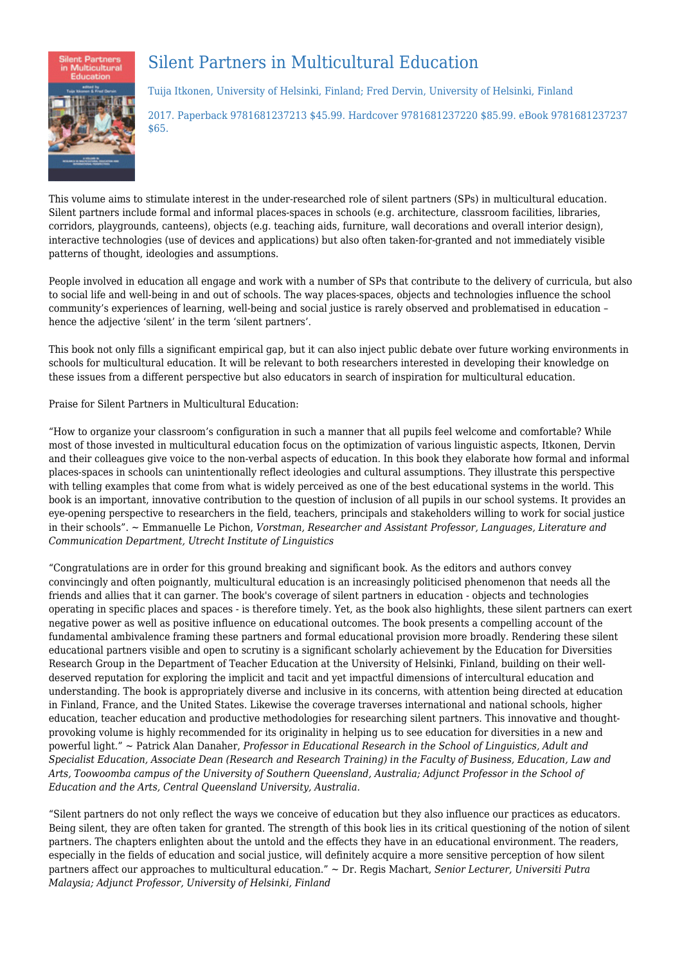

# Silent Partners in Multicultural Education

Tuija Itkonen, University of Helsinki, Finland; Fred Dervin, University of Helsinki, Finland

2017. Paperback 9781681237213 \$45.99. Hardcover 9781681237220 \$85.99. eBook 9781681237237 \$65.

This volume aims to stimulate interest in the under-researched role of silent partners (SPs) in multicultural education. Silent partners include formal and informal places-spaces in schools (e.g. architecture, classroom facilities, libraries, corridors, playgrounds, canteens), objects (e.g. teaching aids, furniture, wall decorations and overall interior design), interactive technologies (use of devices and applications) but also often taken‐for‐granted and not immediately visible patterns of thought, ideologies and assumptions.

People involved in education all engage and work with a number of SPs that contribute to the delivery of curricula, but also to social life and well-being in and out of schools. The way places-spaces, objects and technologies influence the school community's experiences of learning, well-being and social justice is rarely observed and problematised in education hence the adjective 'silent' in the term 'silent partners'.

This book not only fills a significant empirical gap, but it can also inject public debate over future working environments in schools for multicultural education. It will be relevant to both researchers interested in developing their knowledge on these issues from a different perspective but also educators in search of inspiration for multicultural education.

#### Praise for Silent Partners in Multicultural Education:

"How to organize your classroom's configuration in such a manner that all pupils feel welcome and comfortable? While most of those invested in multicultural education focus on the optimization of various linguistic aspects, Itkonen, Dervin and their colleagues give voice to the non‐verbal aspects of education. In this book they elaborate how formal and informal places‐spaces in schools can unintentionally reflect ideologies and cultural assumptions. They illustrate this perspective with telling examples that come from what is widely perceived as one of the best educational systems in the world. This book is an important, innovative contribution to the question of inclusion of all pupils in our school systems. It provides an eye‐opening perspective to researchers in the field, teachers, principals and stakeholders willing to work for social justice in their schools". ~ Emmanuelle Le Pichon, *Vorstman, Researcher and Assistant Professor, Languages, Literature and Communication Department, Utrecht Institute of Linguistics*

"Congratulations are in order for this ground breaking and significant book. As the editors and authors convey convincingly and often poignantly, multicultural education is an increasingly politicised phenomenon that needs all the friends and allies that it can garner. The book's coverage of silent partners in education ‐ objects and technologies operating in specific places and spaces ‐ is therefore timely. Yet, as the book also highlights, these silent partners can exert negative power as well as positive influence on educational outcomes. The book presents a compelling account of the fundamental ambivalence framing these partners and formal educational provision more broadly. Rendering these silent educational partners visible and open to scrutiny is a significant scholarly achievement by the Education for Diversities Research Group in the Department of Teacher Education at the University of Helsinki, Finland, building on their welldeserved reputation for exploring the implicit and tacit and yet impactful dimensions of intercultural education and understanding. The book is appropriately diverse and inclusive in its concerns, with attention being directed at education in Finland, France, and the United States. Likewise the coverage traverses international and national schools, higher education, teacher education and productive methodologies for researching silent partners. This innovative and thoughtprovoking volume is highly recommended for its originality in helping us to see education for diversities in a new and powerful light." ~ Patrick Alan Danaher, *Professor in Educational Research in the School of Linguistics, Adult and Specialist Education, Associate Dean (Research and Research Training) in the Faculty of Business, Education, Law and Arts, Toowoomba campus of the University of Southern Queensland, Australia; Adjunct Professor in the School of Education and the Arts, Central Queensland University, Australia.*

"Silent partners do not only reflect the ways we conceive of education but they also influence our practices as educators. Being silent, they are often taken for granted. The strength of this book lies in its critical questioning of the notion of silent partners. The chapters enlighten about the untold and the effects they have in an educational environment. The readers, especially in the fields of education and social justice, will definitely acquire a more sensitive perception of how silent partners affect our approaches to multicultural education." ~ Dr. Regis Machart, *Senior Lecturer, Universiti Putra Malaysia; Adjunct Professor, University of Helsinki, Finland*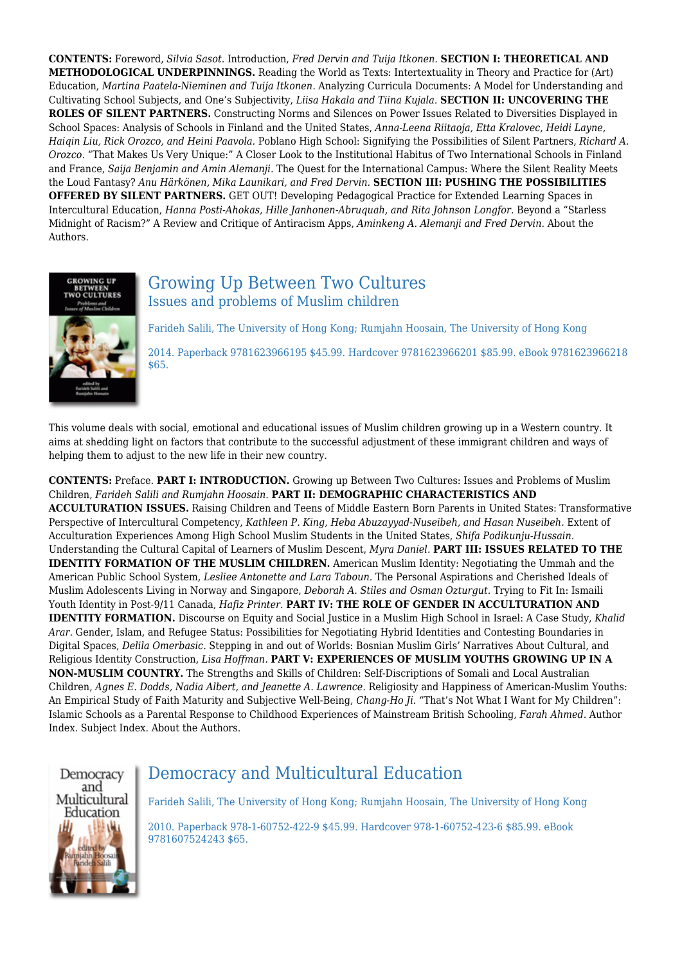**CONTENTS:** Foreword, *Silvia Sasot.* Introduction, *Fred Dervin and Tuija Itkonen.* **SECTION I: THEORETICAL AND METHODOLOGICAL UNDERPINNINGS.** Reading the World as Texts: Intertextuality in Theory and Practice for (Art) Education, *Martina Paatela‐Nieminen and Tuija Itkonen.* Analyzing Curricula Documents: A Model for Understanding and Cultivating School Subjects, and One's Subjectivity, *Liisa Hakala and Tiina Kujala.* **SECTION II: UNCOVERING THE ROLES OF SILENT PARTNERS.** Constructing Norms and Silences on Power Issues Related to Diversities Displayed in School Spaces: Analysis of Schools in Finland and the United States, *Anna‐Leena Riitaoja, Etta Kralovec, Heidi Layne, Haiqin Liu, Rick Orozco, and Heini Paavola.* Poblano High School: Signifying the Possibilities of Silent Partners, *Richard A. Orozco.* "That Makes Us Very Unique:" A Closer Look to the Institutional Habitus of Two International Schools in Finland and France, *Saija Benjamin and Amin Alemanji.* The Quest for the International Campus: Where the Silent Reality Meets the Loud Fantasy? *Anu Härkönen, Mika Launikari, and Fred Dervin.* **SECTION III: PUSHING THE POSSIBILITIES OFFERED BY SILENT PARTNERS.** GET OUT! Developing Pedagogical Practice for Extended Learning Spaces in Intercultural Education, *Hanna Posti‐Ahokas, Hille Janhonen‐Abruquah, and Rita Johnson Longfor.* Beyond a "Starless Midnight of Racism?" A Review and Critique of Antiracism Apps, *Aminkeng A. Alemanji and Fred Dervin.* About the Authors.



## Growing Up Between Two Cultures Issues and problems of Muslim children

Farideh Salili, The University of Hong Kong; Rumjahn Hoosain, The University of Hong Kong

2014. Paperback 9781623966195 \$45.99. Hardcover 9781623966201 \$85.99. eBook 9781623966218 \$65.

This volume deals with social, emotional and educational issues of Muslim children growing up in a Western country. It aims at shedding light on factors that contribute to the successful adjustment of these immigrant children and ways of helping them to adjust to the new life in their new country.

**CONTENTS:** Preface. **PART I: INTRODUCTION.** Growing up Between Two Cultures: Issues and Problems of Muslim Children, *Farideh Salili and Rumjahn Hoosain.* **PART II: DEMOGRAPHIC CHARACTERISTICS AND ACCULTURATION ISSUES.** Raising Children and Teens of Middle Eastern Born Parents in United States: Transformative Perspective of Intercultural Competency, *Kathleen P. King, Heba Abuzayyad-Nuseibeh, and Hasan Nuseibeh.* Extent of Acculturation Experiences Among High School Muslim Students in the United States, *Shifa Podikunju-Hussain.* Understanding the Cultural Capital of Learners of Muslim Descent, *Myra Daniel.* **PART III: ISSUES RELATED TO THE IDENTITY FORMATION OF THE MUSLIM CHILDREN.** American Muslim Identity: Negotiating the Ummah and the American Public School System, *Lesliee Antonette and Lara Taboun.* The Personal Aspirations and Cherished Ideals of Muslim Adolescents Living in Norway and Singapore, *Deborah A. Stiles and Osman Ozturgut.* Trying to Fit In: Ismaili Youth Identity in Post-9/11 Canada, *Hafiz Printer.* **PART IV: THE ROLE OF GENDER IN ACCULTURATION AND IDENTITY FORMATION.** Discourse on Equity and Social Justice in a Muslim High School in Israel: A Case Study, *Khalid Arar.* Gender, Islam, and Refugee Status: Possibilities for Negotiating Hybrid Identities and Contesting Boundaries in Digital Spaces, *Delila Omerbasic.* Stepping in and out of Worlds: Bosnian Muslim Girls' Narratives About Cultural, and Religious Identity Construction, *Lisa Hoffman.* **PART V: EXPERIENCES OF MUSLIM YOUTHS GROWING UP IN A NON-MUSLIM COUNTRY.** The Strengths and Skills of Children: Self-Discriptions of Somali and Local Australian Children, *Agnes E. Dodds, Nadia Albert, and Jeanette A. Lawrence.* Religiosity and Happiness of American-Muslim Youths: An Empirical Study of Faith Maturity and Subjective Well-Being, *Chang-Ho Ji.* "That's Not What I Want for My Children": Islamic Schools as a Parental Response to Childhood Experiences of Mainstream British Schooling, *Farah Ahmed.* Author Index. Subject Index. About the Authors.



# Democracy and Multicultural Education

Farideh Salili, The University of Hong Kong; Rumjahn Hoosain, The University of Hong Kong

2010. Paperback 978-1-60752-422-9 \$45.99. Hardcover 978-1-60752-423-6 \$85.99. eBook 9781607524243 \$65.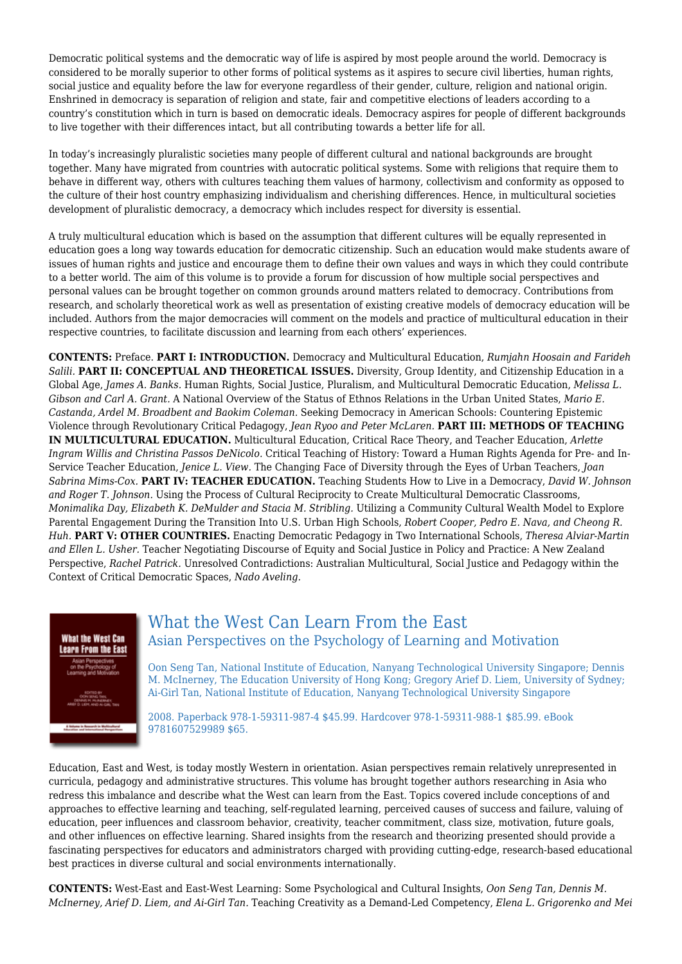Democratic political systems and the democratic way of life is aspired by most people around the world. Democracy is considered to be morally superior to other forms of political systems as it aspires to secure civil liberties, human rights, social justice and equality before the law for everyone regardless of their gender, culture, religion and national origin. Enshrined in democracy is separation of religion and state, fair and competitive elections of leaders according to a country's constitution which in turn is based on democratic ideals. Democracy aspires for people of different backgrounds to live together with their differences intact, but all contributing towards a better life for all.

In today's increasingly pluralistic societies many people of different cultural and national backgrounds are brought together. Many have migrated from countries with autocratic political systems. Some with religions that require them to behave in different way, others with cultures teaching them values of harmony, collectivism and conformity as opposed to the culture of their host country emphasizing individualism and cherishing differences. Hence, in multicultural societies development of pluralistic democracy, a democracy which includes respect for diversity is essential.

A truly multicultural education which is based on the assumption that different cultures will be equally represented in education goes a long way towards education for democratic citizenship. Such an education would make students aware of issues of human rights and justice and encourage them to define their own values and ways in which they could contribute to a better world. The aim of this volume is to provide a forum for discussion of how multiple social perspectives and personal values can be brought together on common grounds around matters related to democracy. Contributions from research, and scholarly theoretical work as well as presentation of existing creative models of democracy education will be included. Authors from the major democracies will comment on the models and practice of multicultural education in their respective countries, to facilitate discussion and learning from each others' experiences.

**CONTENTS:** Preface. **PART I: INTRODUCTION.** Democracy and Multicultural Education, *Rumjahn Hoosain and Farideh Salili.* **PART II: CONCEPTUAL AND THEORETICAL ISSUES.** Diversity, Group Identity, and Citizenship Education in a Global Age, *James A. Banks.* Human Rights, Social Justice, Pluralism, and Multicultural Democratic Education, *Melissa L. Gibson and Carl A. Grant.* A National Overview of the Status of Ethnos Relations in the Urban United States, *Mario E. Castanda, Ardel M. Broadbent and Baokim Coleman.* Seeking Democracy in American Schools: Countering Epistemic Violence through Revolutionary Critical Pedagogy, *Jean Ryoo and Peter McLaren.* **PART III: METHODS OF TEACHING IN MULTICULTURAL EDUCATION.** Multicultural Education, Critical Race Theory, and Teacher Education, *Arlette Ingram Willis and Christina Passos DeNicolo.* Critical Teaching of History: Toward a Human Rights Agenda for Pre- and In-Service Teacher Education, *Jenice L. View.* The Changing Face of Diversity through the Eyes of Urban Teachers, *Joan Sabrina Mims-Cox.* **PART IV: TEACHER EDUCATION.** Teaching Students How to Live in a Democracy, *David W. Johnson and Roger T. Johnson.* Using the Process of Cultural Reciprocity to Create Multicultural Democratic Classrooms, *Monimalika Day, Elizabeth K. DeMulder and Stacia M. Stribling.* Utilizing a Community Cultural Wealth Model to Explore Parental Engagement During the Transition Into U.S. Urban High Schools, *Robert Cooper, Pedro E. Nava, and Cheong R. Huh.* **PART V: OTHER COUNTRIES.** Enacting Democratic Pedagogy in Two International Schools, *Theresa Alviar-Martin and Ellen L. Usher.* Teacher Negotiating Discourse of Equity and Social Justice in Policy and Practice: A New Zealand Perspective, *Rachel Patrick.* Unresolved Contradictions: Australian Multicultural, Social Justice and Pedagogy within the Context of Critical Democratic Spaces, *Nado Aveling.*



#### What the West Can Learn From the East Asian Perspectives on the Psychology of Learning and Motivation

Oon Seng Tan, National Institute of Education, Nanyang Technological University Singapore; Dennis M. McInerney, The Education University of Hong Kong; Gregory Arief D. Liem, University of Sydney; Ai-Girl Tan, National Institute of Education, Nanyang Technological University Singapore

2008. Paperback 978-1-59311-987-4 \$45.99. Hardcover 978-1-59311-988-1 \$85.99. eBook 9781607529989 \$65.

Education, East and West, is today mostly Western in orientation. Asian perspectives remain relatively unrepresented in curricula, pedagogy and administrative structures. This volume has brought together authors researching in Asia who redress this imbalance and describe what the West can learn from the East. Topics covered include conceptions of and approaches to effective learning and teaching, self-regulated learning, perceived causes of success and failure, valuing of education, peer influences and classroom behavior, creativity, teacher commitment, class size, motivation, future goals, and other influences on effective learning. Shared insights from the research and theorizing presented should provide a fascinating perspectives for educators and administrators charged with providing cutting-edge, research-based educational best practices in diverse cultural and social environments internationally.

**CONTENTS:** West-East and East-West Learning: Some Psychological and Cultural Insights, *Oon Seng Tan, Dennis M. McInerney, Arief D. Liem, and Ai-Girl Tan.* Teaching Creativity as a Demand-Led Competency, *Elena L. Grigorenko and Mei*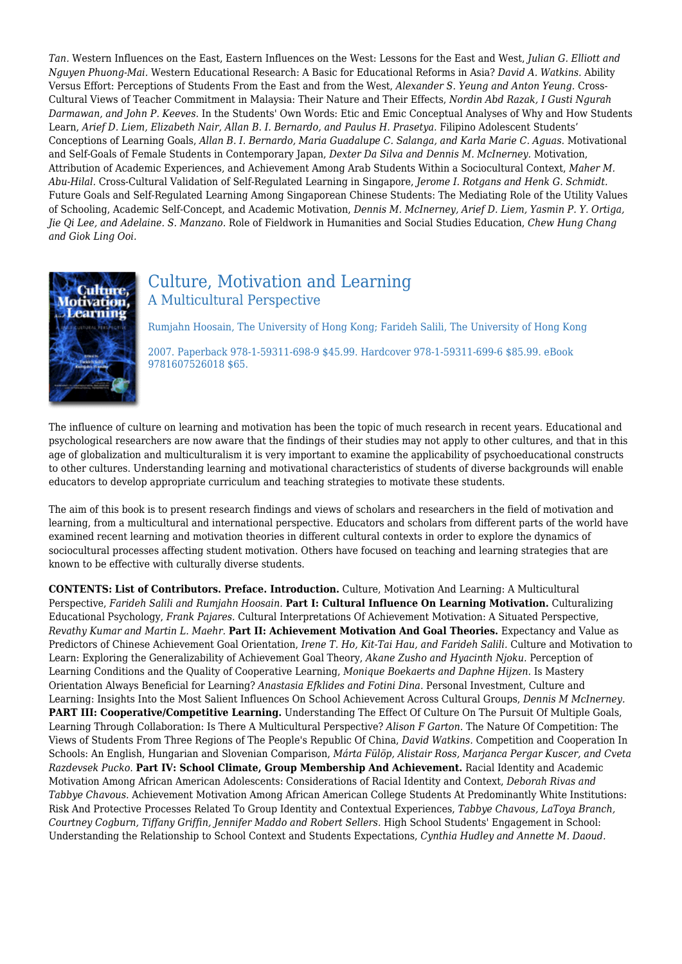*Tan.* Western Influences on the East, Eastern Influences on the West: Lessons for the East and West, *Julian G. Elliott and Nguyen Phuong-Mai.* Western Educational Research: A Basic for Educational Reforms in Asia? *David A. Watkins.* Ability Versus Effort: Perceptions of Students From the East and from the West, *Alexander S. Yeung and Anton Yeung.* Cross-Cultural Views of Teacher Commitment in Malaysia: Their Nature and Their Effects, *Nordin Abd Razak, I Gusti Ngurah Darmawan, and John P. Keeves.* In the Students' Own Words: Etic and Emic Conceptual Analyses of Why and How Students Learn, *Arief D. Liem, Elizabeth Nair, Allan B. I. Bernardo, and Paulus H. Prasetya.* Filipino Adolescent Students' Conceptions of Learning Goals, *Allan B. I. Bernardo, Maria Guadalupe C. Salanga, and Karla Marie C. Aguas.* Motivational and Self-Goals of Female Students in Contemporary Japan, *Dexter Da Silva and Dennis M. McInerney.* Motivation, Attribution of Academic Experiences, and Achievement Among Arab Students Within a Sociocultural Context, *Maher M. Abu-Hilal.* Cross-Cultural Validation of Self-Regulated Learning in Singapore, *Jerome I. Rotgans and Henk G. Schmidt.* Future Goals and Self-Regulated Learning Among Singaporean Chinese Students: The Mediating Role of the Utility Values of Schooling, Academic Self-Concept, and Academic Motivation, *Dennis M. McInerney, Arief D. Liem, Yasmin P. Y. Ortiga, Jie Qi Lee, and Adelaine. S. Manzano.* Role of Fieldwork in Humanities and Social Studies Education, *Chew Hung Chang and Giok Ling Ooi.*



## Culture, Motivation and Learning A Multicultural Perspective

Rumjahn Hoosain, The University of Hong Kong; Farideh Salili, The University of Hong Kong

2007. Paperback 978-1-59311-698-9 \$45.99. Hardcover 978-1-59311-699-6 \$85.99. eBook 9781607526018 \$65.

The influence of culture on learning and motivation has been the topic of much research in recent years. Educational and psychological researchers are now aware that the findings of their studies may not apply to other cultures, and that in this age of globalization and multiculturalism it is very important to examine the applicability of psychoeducational constructs to other cultures. Understanding learning and motivational characteristics of students of diverse backgrounds will enable educators to develop appropriate curriculum and teaching strategies to motivate these students.

The aim of this book is to present research findings and views of scholars and researchers in the field of motivation and learning, from a multicultural and international perspective. Educators and scholars from different parts of the world have examined recent learning and motivation theories in different cultural contexts in order to explore the dynamics of sociocultural processes affecting student motivation. Others have focused on teaching and learning strategies that are known to be effective with culturally diverse students.

**CONTENTS: List of Contributors. Preface. Introduction.** Culture, Motivation And Learning: A Multicultural Perspective, *Farideh Salili and Rumjahn Hoosain.* **Part I: Cultural Influence On Learning Motivation.** Culturalizing Educational Psychology, *Frank Pajares.* Cultural Interpretations Of Achievement Motivation: A Situated Perspective, *Revathy Kumar and Martin L. Maehr.* **Part II: Achievement Motivation And Goal Theories.** Expectancy and Value as Predictors of Chinese Achievement Goal Orientation, *Irene T. Ho, Kit-Tai Hau, and Farideh Salili.* Culture and Motivation to Learn: Exploring the Generalizability of Achievement Goal Theory, *Akane Zusho and Hyacinth Njoku.* Perception of Learning Conditions and the Quality of Cooperative Learning, *Monique Boekaerts and Daphne Hijzen.* Is Mastery Orientation Always Beneficial for Learning? *Anastasia Efklides and Fotini Dina.* Personal Investment, Culture and Learning: Insights Into the Most Salient Influences On School Achievement Across Cultural Groups, *Dennis M McInerney.* **PART III: Cooperative/Competitive Learning.** Understanding The Effect Of Culture On The Pursuit Of Multiple Goals, Learning Through Collaboration: Is There A Multicultural Perspective? *Alison F Garton.* The Nature Of Competition: The Views of Students From Three Regions of The People's Republic Of China, *David Watkins.* Competition and Cooperation In Schools: An English, Hungarian and Slovenian Comparison, *Márta Fülöp, Alistair Ross, Marjanca Pergar Kuscer, and Cveta Razdevsek Pucko.* **Part IV: School Climate, Group Membership And Achievement.** Racial Identity and Academic Motivation Among African American Adolescents: Considerations of Racial Identity and Context, *Deborah Rivas and Tabbye Chavous.* Achievement Motivation Among African American College Students At Predominantly White Institutions: Risk And Protective Processes Related To Group Identity and Contextual Experiences, *Tabbye Chavous, LaToya Branch, Courtney Cogburn, Tiffany Griffin, Jennifer Maddo and Robert Sellers.* High School Students' Engagement in School: Understanding the Relationship to School Context and Students Expectations, *Cynthia Hudley and Annette M. Daoud.*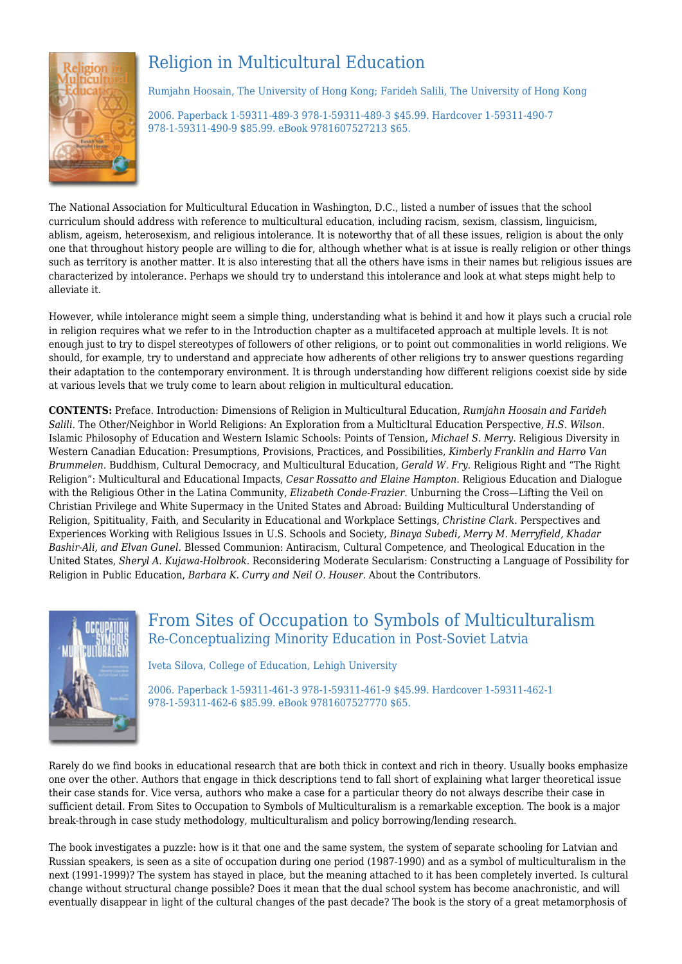# Religion in Multicultural Education



Rumjahn Hoosain, The University of Hong Kong; Farideh Salili, The University of Hong Kong

2006. Paperback 1-59311-489-3 978-1-59311-489-3 \$45.99. Hardcover 1-59311-490-7 978-1-59311-490-9 \$85.99. eBook 9781607527213 \$65.

The National Association for Multicultural Education in Washington, D.C., listed a number of issues that the school curriculum should address with reference to multicultural education, including racism, sexism, classism, linguicism, ablism, ageism, heterosexism, and religious intolerance. It is noteworthy that of all these issues, religion is about the only one that throughout history people are willing to die for, although whether what is at issue is really religion or other things such as territory is another matter. It is also interesting that all the others have isms in their names but religious issues are characterized by intolerance. Perhaps we should try to understand this intolerance and look at what steps might help to alleviate it.

However, while intolerance might seem a simple thing, understanding what is behind it and how it plays such a crucial role in religion requires what we refer to in the Introduction chapter as a multifaceted approach at multiple levels. It is not enough just to try to dispel stereotypes of followers of other religions, or to point out commonalities in world religions. We should, for example, try to understand and appreciate how adherents of other religions try to answer questions regarding their adaptation to the contemporary environment. It is through understanding how different religions coexist side by side at various levels that we truly come to learn about religion in multicultural education.

**CONTENTS:** Preface. Introduction: Dimensions of Religion in Multicultural Education, *Rumjahn Hoosain and Farideh Salili.* The Other/Neighbor in World Religions: An Exploration from a Multicltural Education Perspective, *H.S. Wilson.* Islamic Philosophy of Education and Western Islamic Schools: Points of Tension, *Michael S. Merry.* Religious Diversity in Western Canadian Education: Presumptions, Provisions, Practices, and Possibilities, *Kimberly Franklin and Harro Van Brummelen.* Buddhism, Cultural Democracy, and Multicultural Education, *Gerald W. Fry.* Religious Right and "The Right Religion": Multicultural and Educational Impacts, *Cesar Rossatto and Elaine Hampton.* Religious Education and Dialogue with the Religious Other in the Latina Community, *Elizabeth Conde-Frazier.* Unburning the Cross—Lifting the Veil on Christian Privilege and White Supermacy in the United States and Abroad: Building Multicultural Understanding of Religion, Spitituality, Faith, and Secularity in Educational and Workplace Settings, *Christine Clark.* Perspectives and Experiences Working with Religious Issues in U.S. Schools and Society, *Binaya Subedi, Merry M. Merryfield, Khadar Bashir-Ali, and Elvan Gunel.* Blessed Communion: Antiracism, Cultural Competence, and Theological Education in the United States, *Sheryl A. Kujawa-Holbrook.* Reconsidering Moderate Secularism: Constructing a Language of Possibility for Religion in Public Education, *Barbara K. Curry and Neil O. Houser.* About the Contributors.



## From Sites of Occupation to Symbols of Multiculturalism Re-Conceptualizing Minority Education in Post-Soviet Latvia

Iveta Silova, College of Education, Lehigh University

2006. Paperback 1-59311-461-3 978-1-59311-461-9 \$45.99. Hardcover 1-59311-462-1 978-1-59311-462-6 \$85.99. eBook 9781607527770 \$65.

Rarely do we find books in educational research that are both thick in context and rich in theory. Usually books emphasize one over the other. Authors that engage in thick descriptions tend to fall short of explaining what larger theoretical issue their case stands for. Vice versa, authors who make a case for a particular theory do not always describe their case in sufficient detail. From Sites to Occupation to Symbols of Multiculturalism is a remarkable exception. The book is a major break-through in case study methodology, multiculturalism and policy borrowing/lending research.

The book investigates a puzzle: how is it that one and the same system, the system of separate schooling for Latvian and Russian speakers, is seen as a site of occupation during one period (1987-1990) and as a symbol of multiculturalism in the next (1991-1999)? The system has stayed in place, but the meaning attached to it has been completely inverted. Is cultural change without structural change possible? Does it mean that the dual school system has become anachronistic, and will eventually disappear in light of the cultural changes of the past decade? The book is the story of a great metamorphosis of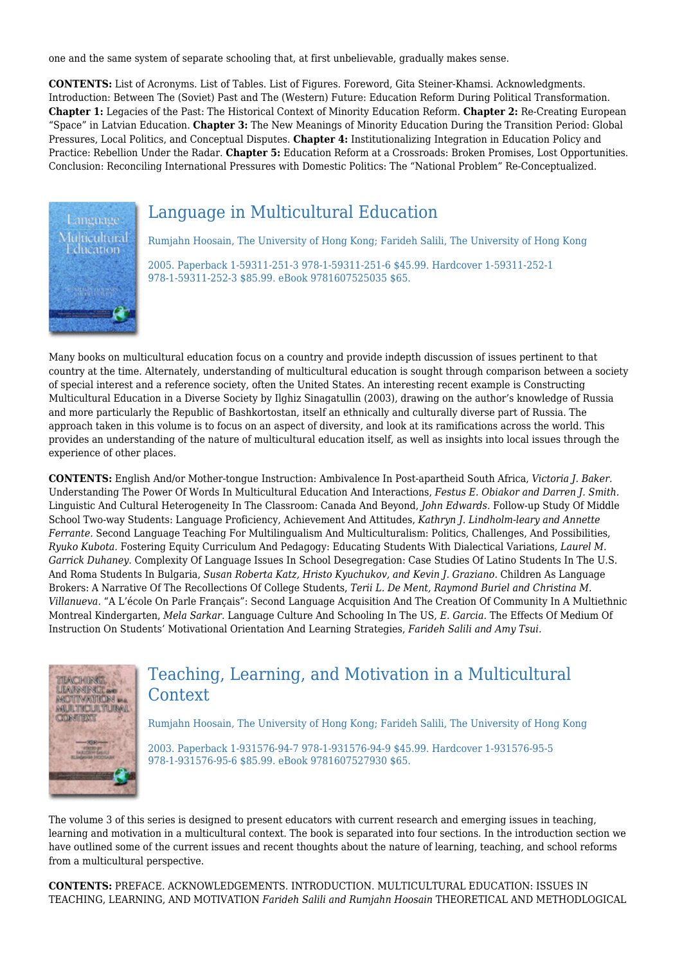one and the same system of separate schooling that, at first unbelievable, gradually makes sense.

**CONTENTS:** List of Acronyms. List of Tables. List of Figures. Foreword, Gita Steiner-Khamsi. Acknowledgments. Introduction: Between The (Soviet) Past and The (Western) Future: Education Reform During Political Transformation. **Chapter 1:** Legacies of the Past: The Historical Context of Minority Education Reform. **Chapter 2:** Re-Creating European "Space" in Latvian Education. **Chapter 3:** The New Meanings of Minority Education During the Transition Period: Global Pressures, Local Politics, and Conceptual Disputes. **Chapter 4:** Institutionalizing Integration in Education Policy and Practice: Rebellion Under the Radar. **Chapter 5:** Education Reform at a Crossroads: Broken Promises, Lost Opportunities. Conclusion: Reconciling International Pressures with Domestic Politics: The "National Problem" Re-Conceptualized.



# Language in Multicultural Education

Rumjahn Hoosain, The University of Hong Kong; Farideh Salili, The University of Hong Kong

2005. Paperback 1-59311-251-3 978-1-59311-251-6 \$45.99. Hardcover 1-59311-252-1 978-1-59311-252-3 \$85.99. eBook 9781607525035 \$65.

Many books on multicultural education focus on a country and provide indepth discussion of issues pertinent to that country at the time. Alternately, understanding of multicultural education is sought through comparison between a society of special interest and a reference society, often the United States. An interesting recent example is Constructing Multicultural Education in a Diverse Society by Ilghiz Sinagatullin (2003), drawing on the author's knowledge of Russia and more particularly the Republic of Bashkortostan, itself an ethnically and culturally diverse part of Russia. The approach taken in this volume is to focus on an aspect of diversity, and look at its ramifications across the world. This provides an understanding of the nature of multicultural education itself, as well as insights into local issues through the experience of other places.

**CONTENTS:** English And/or Mother-tongue Instruction: Ambivalence In Post-apartheid South Africa, *Victoria J. Baker.* Understanding The Power Of Words In Multicultural Education And Interactions, *Festus E. Obiakor and Darren J. Smith.* Linguistic And Cultural Heterogeneity In The Classroom: Canada And Beyond, *John Edwards.* Follow-up Study Of Middle School Two-way Students: Language Proficiency, Achievement And Attitudes, *Kathryn J. Lindholm-leary and Annette Ferrante.* Second Language Teaching For Multilingualism And Multiculturalism: Politics, Challenges, And Possibilities, *Ryuko Kubota.* Fostering Equity Curriculum And Pedagogy: Educating Students With Dialectical Variations, *Laurel M. Garrick Duhaney.* Complexity Of Language Issues In School Desegregation: Case Studies Of Latino Students In The U.S. And Roma Students In Bulgaria, *Susan Roberta Katz, Hristo Kyuchukov, and Kevin J. Graziano.* Children As Language Brokers: A Narrative Of The Recollections Of College Students, *Terii L. De Ment, Raymond Buriel and Christina M. Villanueva.* "A L'école On Parle Français": Second Language Acquisition And The Creation Of Community In A Multiethnic Montreal Kindergarten, *Mela Sarkar.* Language Culture And Schooling In The US, *E. Garcia.* The Effects Of Medium Of Instruction On Students' Motivational Orientation And Learning Strategies, *Farideh Salili and Amy Tsui.*



## Teaching, Learning, and Motivation in a Multicultural Context

Rumjahn Hoosain, The University of Hong Kong; Farideh Salili, The University of Hong Kong

2003. Paperback 1-931576-94-7 978-1-931576-94-9 \$45.99. Hardcover 1-931576-95-5 978-1-931576-95-6 \$85.99. eBook 9781607527930 \$65.

The volume 3 of this series is designed to present educators with current research and emerging issues in teaching, learning and motivation in a multicultural context. The book is separated into four sections. In the introduction section we have outlined some of the current issues and recent thoughts about the nature of learning, teaching, and school reforms from a multicultural perspective.

**CONTENTS:** PREFACE. ACKNOWLEDGEMENTS. INTRODUCTION. MULTICULTURAL EDUCATION: ISSUES IN TEACHING, LEARNING, AND MOTIVATION *Farideh Salili and Rumjahn Hoosain* THEORETICAL AND METHODLOGICAL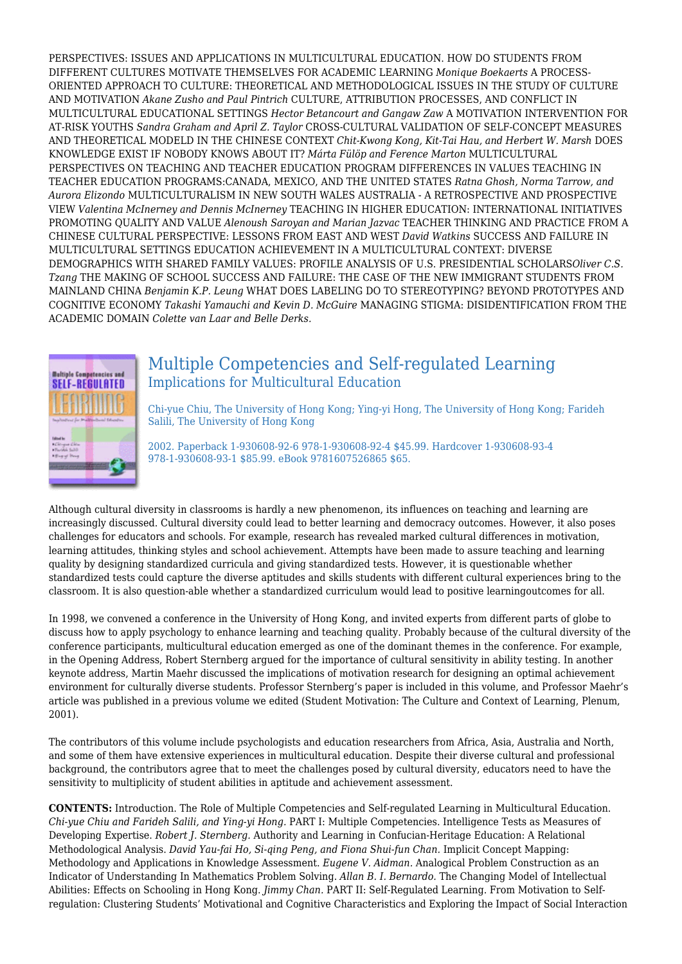PERSPECTIVES: ISSUES AND APPLICATIONS IN MULTICULTURAL EDUCATION. HOW DO STUDENTS FROM DIFFERENT CULTURES MOTIVATE THEMSELVES FOR ACADEMIC LEARNING *Monique Boekaerts* A PROCESS-ORIENTED APPROACH TO CULTURE: THEORETICAL AND METHODOLOGICAL ISSUES IN THE STUDY OF CULTURE AND MOTIVATION *Akane Zusho and Paul Pintrich* CULTURE, ATTRIBUTION PROCESSES, AND CONFLICT IN MULTICULTURAL EDUCATIONAL SETTINGS *Hector Betancourt and Gangaw Zaw* A MOTIVATION INTERVENTION FOR AT-RISK YOUTHS *Sandra Graham and April Z. Taylor* CROSS-CULTURAL VALIDATION OF SELF-CONCEPT MEASURES AND THEORETICAL MODELD IN THE CHINESE CONTEXT *Chit-Kwong Kong, Kit-Tai Hau, and Herbert W. Marsh* DOES KNOWLEDGE EXIST IF NOBODY KNOWS ABOUT IT? *Márta Fülöp and Ference Marton* MULTICULTURAL PERSPECTIVES ON TEACHING AND TEACHER EDUCATION PROGRAM DIFFERENCES IN VALUES TEACHING IN TEACHER EDUCATION PROGRAMS:CANADA, MEXICO, AND THE UNITED STATES *Ratna Ghosh, Norma Tarrow, and Aurora Elizondo* MULTICULTURALISM IN NEW SOUTH WALES AUSTRALIA - A RETROSPECTIVE AND PROSPECTIVE VIEW *Valentina McInerney and Dennis McInerney* TEACHING IN HIGHER EDUCATION: INTERNATIONAL INITIATIVES PROMOTING QUALITY AND VALUE *Alenoush Saroyan and Marian Jazvac* TEACHER THINKING AND PRACTICE FROM A CHINESE CULTURAL PERSPECTIVE: LESSONS FROM EAST AND WEST *David Watkins* SUCCESS AND FAILURE IN MULTICULTURAL SETTINGS EDUCATION ACHIEVEMENT IN A MULTICULTURAL CONTEXT: DIVERSE DEMOGRAPHICS WITH SHARED FAMILY VALUES: PROFILE ANALYSIS OF U.S. PRESIDENTIAL SCHOLARS*Oliver C.S. Tzang* THE MAKING OF SCHOOL SUCCESS AND FAILURE: THE CASE OF THE NEW IMMIGRANT STUDENTS FROM MAINLAND CHINA *Benjamin K.P. Leung* WHAT DOES LABELING DO TO STEREOTYPING? BEYOND PROTOTYPES AND COGNITIVE ECONOMY *Takashi Yamauchi and Kevin D. McGuire* MANAGING STIGMA: DISIDENTIFICATION FROM THE ACADEMIC DOMAIN *Colette van Laar and Belle Derks.*



### Multiple Competencies and Self-regulated Learning Implications for Multicultural Education

Chi-yue Chiu, The University of Hong Kong; Ying-yi Hong, The University of Hong Kong; Farideh Salili, The University of Hong Kong

2002. Paperback 1-930608-92-6 978-1-930608-92-4 \$45.99. Hardcover 1-930608-93-4 978-1-930608-93-1 \$85.99. eBook 9781607526865 \$65.

Although cultural diversity in classrooms is hardly a new phenomenon, its influences on teaching and learning are increasingly discussed. Cultural diversity could lead to better learning and democracy outcomes. However, it also poses challenges for educators and schools. For example, research has revealed marked cultural differences in motivation, learning attitudes, thinking styles and school achievement. Attempts have been made to assure teaching and learning quality by designing standardized curricula and giving standardized tests. However, it is questionable whether standardized tests could capture the diverse aptitudes and skills students with different cultural experiences bring to the classroom. It is also question-able whether a standardized curriculum would lead to positive learningoutcomes for all.

In 1998, we convened a conference in the University of Hong Kong, and invited experts from different parts of globe to discuss how to apply psychology to enhance learning and teaching quality. Probably because of the cultural diversity of the conference participants, multicultural education emerged as one of the dominant themes in the conference. For example, in the Opening Address, Robert Sternberg argued for the importance of cultural sensitivity in ability testing. In another keynote address, Martin Maehr discussed the implications of motivation research for designing an optimal achievement environment for culturally diverse students. Professor Sternberg's paper is included in this volume, and Professor Maehr's article was published in a previous volume we edited (Student Motivation: The Culture and Context of Learning, Plenum, 2001).

The contributors of this volume include psychologists and education researchers from Africa, Asia, Australia and North, and some of them have extensive experiences in multicultural education. Despite their diverse cultural and professional background, the contributors agree that to meet the challenges posed by cultural diversity, educators need to have the sensitivity to multiplicity of student abilities in aptitude and achievement assessment.

**CONTENTS:** Introduction. The Role of Multiple Competencies and Self-regulated Learning in Multicultural Education. *Chi-yue Chiu and Farideh Salili, and Ying-yi Hong.* PART I: Multiple Competencies. Intelligence Tests as Measures of Developing Expertise. *Robert J. Sternberg.* Authority and Learning in Confucian-Heritage Education: A Relational Methodological Analysis. *David Yau-fai Ho, Si-qing Peng, and Fiona Shui-fun Chan.* Implicit Concept Mapping: Methodology and Applications in Knowledge Assessment. *Eugene V. Aidman.* Analogical Problem Construction as an Indicator of Understanding In Mathematics Problem Solving. *Allan B. I. Bernardo.* The Changing Model of Intellectual Abilities: Effects on Schooling in Hong Kong. *Jimmy Chan.* PART II: Self-Regulated Learning. From Motivation to Selfregulation: Clustering Students' Motivational and Cognitive Characteristics and Exploring the Impact of Social Interaction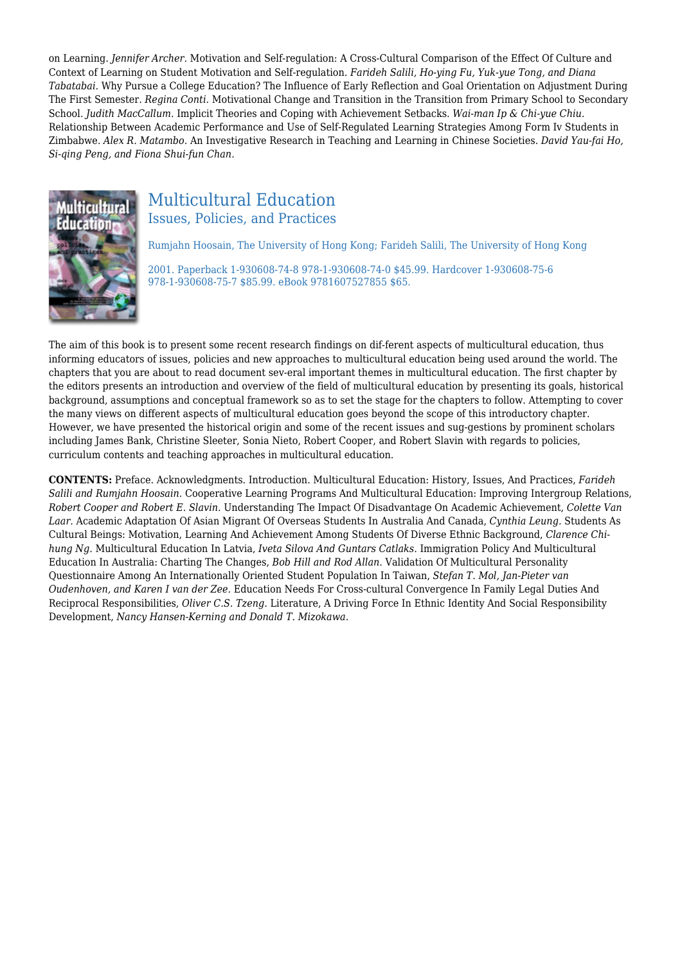on Learning. *Jennifer Archer.* Motivation and Self-regulation: A Cross-Cultural Comparison of the Effect Of Culture and Context of Learning on Student Motivation and Self-regulation. *Farideh Salili, Ho-ying Fu, Yuk-yue Tong, and Diana Tabatabai.* Why Pursue a College Education? The Influence of Early Reflection and Goal Orientation on Adjustment During The First Semester. *Regina Conti.* Motivational Change and Transition in the Transition from Primary School to Secondary School. *Judith MacCallum.* Implicit Theories and Coping with Achievement Setbacks. *Wai-man Ip & Chi-yue Chiu.* Relationship Between Academic Performance and Use of Self-Regulated Learning Strategies Among Form Iv Students in Zimbabwe. *Alex R. Matambo.* An Investigative Research in Teaching and Learning in Chinese Societies. *David Yau-fai Ho, Si-qing Peng, and Fiona Shui-fun Chan.*



### Multicultural Education Issues, Policies, and Practices

Rumjahn Hoosain, The University of Hong Kong; Farideh Salili, The University of Hong Kong

2001. Paperback 1-930608-74-8 978-1-930608-74-0 \$45.99. Hardcover 1-930608-75-6 978-1-930608-75-7 \$85.99. eBook 9781607527855 \$65.

The aim of this book is to present some recent research findings on dif-ferent aspects of multicultural education, thus informing educators of issues, policies and new approaches to multicultural education being used around the world. The chapters that you are about to read document sev-eral important themes in multicultural education. The first chapter by the editors presents an introduction and overview of the field of multicultural education by presenting its goals, historical background, assumptions and conceptual framework so as to set the stage for the chapters to follow. Attempting to cover the many views on different aspects of multicultural education goes beyond the scope of this introductory chapter. However, we have presented the historical origin and some of the recent issues and sug-gestions by prominent scholars including James Bank, Christine Sleeter, Sonia Nieto, Robert Cooper, and Robert Slavin with regards to policies, curriculum contents and teaching approaches in multicultural education.

**CONTENTS:** Preface. Acknowledgments. Introduction. Multicultural Education: History, Issues, And Practices, *Farideh Salili and Rumjahn Hoosain.* Cooperative Learning Programs And Multicultural Education: Improving Intergroup Relations, *Robert Cooper and Robert E. Slavin.* Understanding The Impact Of Disadvantage On Academic Achievement, *Colette Van Laar.* Academic Adaptation Of Asian Migrant Of Overseas Students In Australia And Canada, *Cynthia Leung.* Students As Cultural Beings: Motivation, Learning And Achievement Among Students Of Diverse Ethnic Background, *Clarence Chihung Ng.* Multicultural Education In Latvia, *Iveta Silova And Guntars Catlaks.* Immigration Policy And Multicultural Education In Australia: Charting The Changes, *Bob Hill and Rod Allan.* Validation Of Multicultural Personality Questionnaire Among An Internationally Oriented Student Population In Taiwan, *Stefan T. Mol, Jan-Pieter van Oudenhoven, and Karen I van der Zee.* Education Needs For Cross-cultural Convergence In Family Legal Duties And Reciprocal Responsibilities, *Oliver C.S. Tzeng.* Literature, A Driving Force In Ethnic Identity And Social Responsibility Development, *Nancy Hansen-Kerning and Donald T. Mizokawa.*